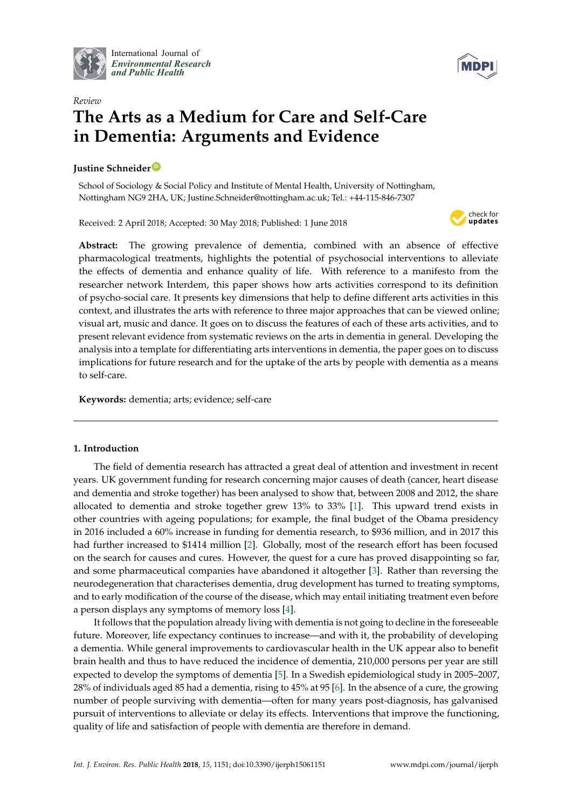

International Journal of *[Environmental Research](http://www.mdpi.com/journal/ijerph) and Public Health*



# *Review* **The Arts as a Medium for Care and Self-Care in Dementia: Arguments and Evidence**

# **Justine Schneider [ID](https://orcid.org/0000-0002-5863-7747)**

School of Sociology & Social Policy and Institute of Mental Health, University of Nottingham, Nottingham NG9 2HA, UK; Justine.Schneider@nottingham.ac.uk; Tel.: +44-115-846-7307

Received: 2 April 2018; Accepted: 30 May 2018; Published: 1 June 2018



**Abstract:** The growing prevalence of dementia, combined with an absence of effective pharmacological treatments, highlights the potential of psychosocial interventions to alleviate the effects of dementia and enhance quality of life. With reference to a manifesto from the researcher network Interdem, this paper shows how arts activities correspond to its definition of psycho-social care. It presents key dimensions that help to define different arts activities in this context, and illustrates the arts with reference to three major approaches that can be viewed online; visual art, music and dance. It goes on to discuss the features of each of these arts activities, and to present relevant evidence from systematic reviews on the arts in dementia in general. Developing the analysis into a template for differentiating arts interventions in dementia, the paper goes on to discuss implications for future research and for the uptake of the arts by people with dementia as a means to self-care.

**Keywords:** dementia; arts; evidence; self-care

# **1. Introduction**

The field of dementia research has attracted a great deal of attention and investment in recent years. UK government funding for research concerning major causes of death (cancer, heart disease and dementia and stroke together) has been analysed to show that, between 2008 and 2012, the share allocated to dementia and stroke together grew 13% to 33% [\[1\]](#page-7-0). This upward trend exists in other countries with ageing populations; for example, the final budget of the Obama presidency in 2016 included a 60% increase in funding for dementia research, to \$936 million, and in 2017 this had further increased to \$1414 million [\[2\]](#page-7-1). Globally, most of the research effort has been focused on the search for causes and cures. However, the quest for a cure has proved disappointing so far, and some pharmaceutical companies have abandoned it altogether [\[3\]](#page-7-2). Rather than reversing the neurodegeneration that characterises dementia, drug development has turned to treating symptoms, and to early modification of the course of the disease, which may entail initiating treatment even before a person displays any symptoms of memory loss [\[4\]](#page-7-3).

It follows that the population already living with dementia is not going to decline in the foreseeable future. Moreover, life expectancy continues to increase—and with it, the probability of developing a dementia. While general improvements to cardiovascular health in the UK appear also to benefit brain health and thus to have reduced the incidence of dementia, 210,000 persons per year are still expected to develop the symptoms of dementia [\[5\]](#page-7-4). In a Swedish epidemiological study in 2005–2007, 28% of individuals aged 85 had a dementia, rising to 45% at 95 [\[6\]](#page-7-5). In the absence of a cure, the growing number of people surviving with dementia—often for many years post-diagnosis, has galvanised pursuit of interventions to alleviate or delay its effects. Interventions that improve the functioning, quality of life and satisfaction of people with dementia are therefore in demand.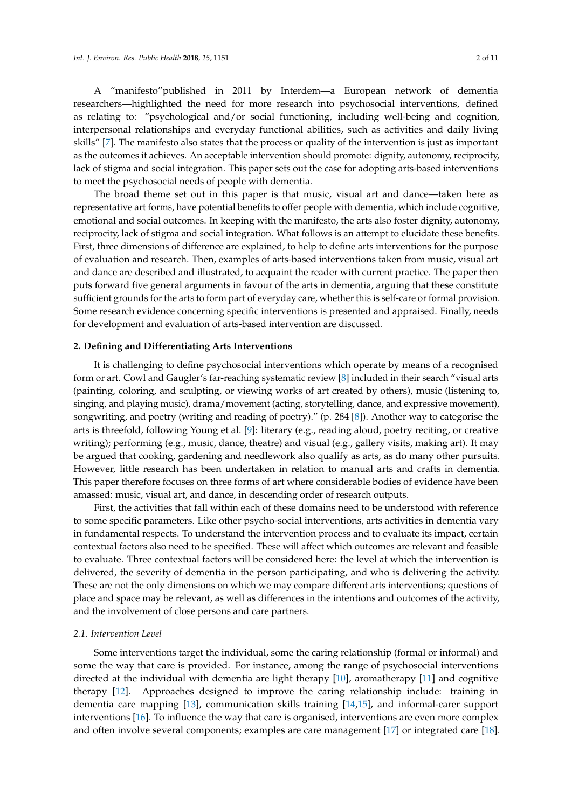A "manifesto"published in 2011 by Interdem—a European network of dementia researchers—highlighted the need for more research into psychosocial interventions, defined as relating to: "psychological and/or social functioning, including well-being and cognition, interpersonal relationships and everyday functional abilities, such as activities and daily living skills" [\[7\]](#page-7-6). The manifesto also states that the process or quality of the intervention is just as important as the outcomes it achieves. An acceptable intervention should promote: dignity, autonomy, reciprocity, lack of stigma and social integration. This paper sets out the case for adopting arts-based interventions to meet the psychosocial needs of people with dementia.

The broad theme set out in this paper is that music, visual art and dance—taken here as representative art forms, have potential benefits to offer people with dementia, which include cognitive, emotional and social outcomes. In keeping with the manifesto, the arts also foster dignity, autonomy, reciprocity, lack of stigma and social integration. What follows is an attempt to elucidate these benefits. First, three dimensions of difference are explained, to help to define arts interventions for the purpose of evaluation and research. Then, examples of arts-based interventions taken from music, visual art and dance are described and illustrated, to acquaint the reader with current practice. The paper then puts forward five general arguments in favour of the arts in dementia, arguing that these constitute sufficient grounds for the arts to form part of everyday care, whether this is self-care or formal provision. Some research evidence concerning specific interventions is presented and appraised. Finally, needs for development and evaluation of arts-based intervention are discussed.

#### **2. Defining and Differentiating Arts Interventions**

It is challenging to define psychosocial interventions which operate by means of a recognised form or art. Cowl and Gaugler's far-reaching systematic review [\[8\]](#page-7-7) included in their search "visual arts (painting, coloring, and sculpting, or viewing works of art created by others), music (listening to, singing, and playing music), drama/movement (acting, storytelling, dance, and expressive movement), songwriting, and poetry (writing and reading of poetry)." (p. 284 [\[8\]](#page-7-7)). Another way to categorise the arts is threefold, following Young et al. [\[9\]](#page-8-0): literary (e.g., reading aloud, poetry reciting, or creative writing); performing (e.g., music, dance, theatre) and visual (e.g., gallery visits, making art). It may be argued that cooking, gardening and needlework also qualify as arts, as do many other pursuits. However, little research has been undertaken in relation to manual arts and crafts in dementia. This paper therefore focuses on three forms of art where considerable bodies of evidence have been amassed: music, visual art, and dance, in descending order of research outputs.

First, the activities that fall within each of these domains need to be understood with reference to some specific parameters. Like other psycho-social interventions, arts activities in dementia vary in fundamental respects. To understand the intervention process and to evaluate its impact, certain contextual factors also need to be specified. These will affect which outcomes are relevant and feasible to evaluate. Three contextual factors will be considered here: the level at which the intervention is delivered, the severity of dementia in the person participating, and who is delivering the activity. These are not the only dimensions on which we may compare different arts interventions; questions of place and space may be relevant, as well as differences in the intentions and outcomes of the activity, and the involvement of close persons and care partners.

## *2.1. Intervention Level*

Some interventions target the individual, some the caring relationship (formal or informal) and some the way that care is provided. For instance, among the range of psychosocial interventions directed at the individual with dementia are light therapy [\[10\]](#page-8-1), aromatherapy [\[11\]](#page-8-2) and cognitive therapy [\[12\]](#page-8-3). Approaches designed to improve the caring relationship include: training in dementia care mapping [\[13\]](#page-8-4), communication skills training [\[14](#page-8-5)[,15\]](#page-8-6), and informal-carer support interventions [\[16\]](#page-8-7). To influence the way that care is organised, interventions are even more complex and often involve several components; examples are care management [\[17\]](#page-8-8) or integrated care [\[18\]](#page-8-9).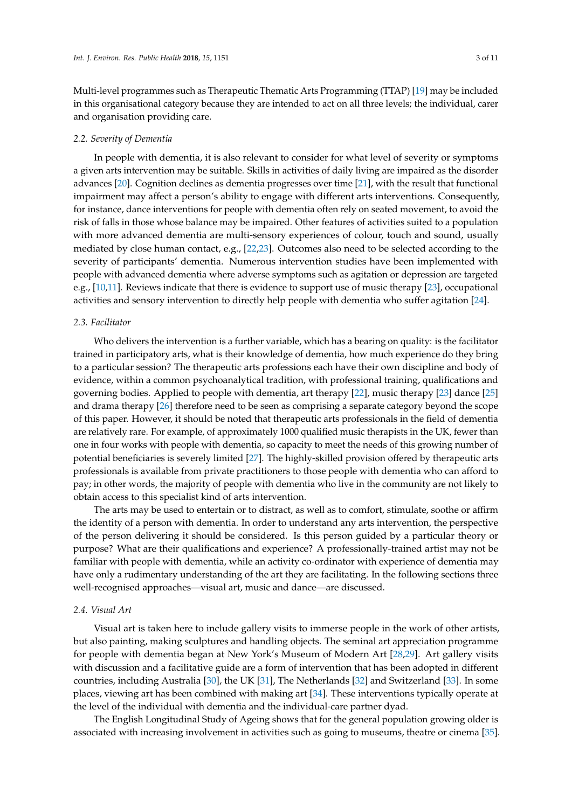Multi-level programmes such as Therapeutic Thematic Arts Programming (TTAP) [\[19\]](#page-8-10) may be included in this organisational category because they are intended to act on all three levels; the individual, carer and organisation providing care.

#### *2.2. Severity of Dementia*

In people with dementia, it is also relevant to consider for what level of severity or symptoms a given arts intervention may be suitable. Skills in activities of daily living are impaired as the disorder advances [\[20\]](#page-8-11). Cognition declines as dementia progresses over time [\[21\]](#page-8-12), with the result that functional impairment may affect a person's ability to engage with different arts interventions. Consequently, for instance, dance interventions for people with dementia often rely on seated movement, to avoid the risk of falls in those whose balance may be impaired. Other features of activities suited to a population with more advanced dementia are multi-sensory experiences of colour, touch and sound, usually mediated by close human contact, e.g., [\[22,](#page-8-13)[23\]](#page-8-14). Outcomes also need to be selected according to the severity of participants' dementia. Numerous intervention studies have been implemented with people with advanced dementia where adverse symptoms such as agitation or depression are targeted e.g., [\[10,](#page-8-1)[11\]](#page-8-2). Reviews indicate that there is evidence to support use of music therapy [\[23\]](#page-8-14), occupational activities and sensory intervention to directly help people with dementia who suffer agitation [\[24\]](#page-8-15).

# *2.3. Facilitator*

Who delivers the intervention is a further variable, which has a bearing on quality: is the facilitator trained in participatory arts, what is their knowledge of dementia, how much experience do they bring to a particular session? The therapeutic arts professions each have their own discipline and body of evidence, within a common psychoanalytical tradition, with professional training, qualifications and governing bodies. Applied to people with dementia, art therapy [\[22\]](#page-8-13), music therapy [\[23\]](#page-8-14) dance [\[25\]](#page-8-16) and drama therapy [\[26\]](#page-8-17) therefore need to be seen as comprising a separate category beyond the scope of this paper. However, it should be noted that therapeutic arts professionals in the field of dementia are relatively rare. For example, of approximately 1000 qualified music therapists in the UK, fewer than one in four works with people with dementia, so capacity to meet the needs of this growing number of potential beneficiaries is severely limited [\[27\]](#page-8-18). The highly-skilled provision offered by therapeutic arts professionals is available from private practitioners to those people with dementia who can afford to pay; in other words, the majority of people with dementia who live in the community are not likely to obtain access to this specialist kind of arts intervention.

The arts may be used to entertain or to distract, as well as to comfort, stimulate, soothe or affirm the identity of a person with dementia. In order to understand any arts intervention, the perspective of the person delivering it should be considered. Is this person guided by a particular theory or purpose? What are their qualifications and experience? A professionally-trained artist may not be familiar with people with dementia, while an activity co-ordinator with experience of dementia may have only a rudimentary understanding of the art they are facilitating. In the following sections three well-recognised approaches—visual art, music and dance—are discussed.

### *2.4. Visual Art*

Visual art is taken here to include gallery visits to immerse people in the work of other artists, but also painting, making sculptures and handling objects. The seminal art appreciation programme for people with dementia began at New York's Museum of Modern Art [\[28,](#page-8-19)[29\]](#page-8-20). Art gallery visits with discussion and a facilitative guide are a form of intervention that has been adopted in different countries, including Australia [\[30\]](#page-9-0), the UK [\[31\]](#page-9-1), The Netherlands [\[32\]](#page-9-2) and Switzerland [\[33\]](#page-9-3). In some places, viewing art has been combined with making art [\[34\]](#page-9-4). These interventions typically operate at the level of the individual with dementia and the individual-care partner dyad.

The English Longitudinal Study of Ageing shows that for the general population growing older is associated with increasing involvement in activities such as going to museums, theatre or cinema [\[35\]](#page-9-5).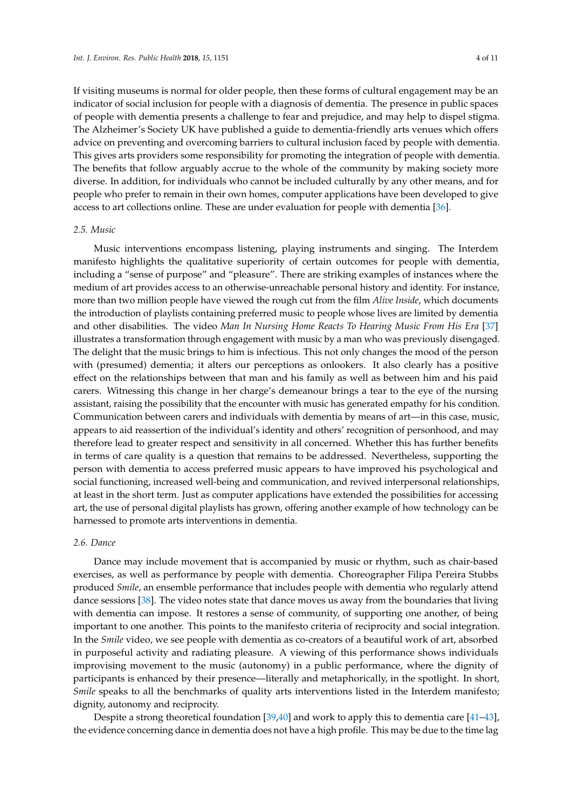If visiting museums is normal for older people, then these forms of cultural engagement may be an indicator of social inclusion for people with a diagnosis of dementia. The presence in public spaces of people with dementia presents a challenge to fear and prejudice, and may help to dispel stigma. The Alzheimer's Society UK have published a guide to dementia-friendly arts venues which offers advice on preventing and overcoming barriers to cultural inclusion faced by people with dementia. This gives arts providers some responsibility for promoting the integration of people with dementia. The benefits that follow arguably accrue to the whole of the community by making society more diverse. In addition, for individuals who cannot be included culturally by any other means, and for people who prefer to remain in their own homes, computer applications have been developed to give access to art collections online. These are under evaluation for people with dementia [\[36\]](#page-9-6).

## *2.5. Music*

Music interventions encompass listening, playing instruments and singing. The Interdem manifesto highlights the qualitative superiority of certain outcomes for people with dementia, including a "sense of purpose" and "pleasure". There are striking examples of instances where the medium of art provides access to an otherwise-unreachable personal history and identity. For instance, more than two million people have viewed the rough cut from the film *Alive Inside*, which documents the introduction of playlists containing preferred music to people whose lives are limited by dementia and other disabilities. The video *Man In Nursing Home Reacts To Hearing Music From His Era* [\[37\]](#page-9-7) illustrates a transformation through engagement with music by a man who was previously disengaged. The delight that the music brings to him is infectious. This not only changes the mood of the person with (presumed) dementia; it alters our perceptions as onlookers. It also clearly has a positive effect on the relationships between that man and his family as well as between him and his paid carers. Witnessing this change in her charge's demeanour brings a tear to the eye of the nursing assistant, raising the possibility that the encounter with music has generated empathy for his condition. Communication between carers and individuals with dementia by means of art—in this case, music, appears to aid reassertion of the individual's identity and others' recognition of personhood, and may therefore lead to greater respect and sensitivity in all concerned. Whether this has further benefits in terms of care quality is a question that remains to be addressed. Nevertheless, supporting the person with dementia to access preferred music appears to have improved his psychological and social functioning, increased well-being and communication, and revived interpersonal relationships, at least in the short term. Just as computer applications have extended the possibilities for accessing art, the use of personal digital playlists has grown, offering another example of how technology can be harnessed to promote arts interventions in dementia.

## *2.6. Dance*

Dance may include movement that is accompanied by music or rhythm, such as chair-based exercises, as well as performance by people with dementia. Choreographer Filipa Pereira Stubbs produced *Smile*, an ensemble performance that includes people with dementia who regularly attend dance sessions [\[38\]](#page-9-8). The video notes state that dance moves us away from the boundaries that living with dementia can impose. It restores a sense of community, of supporting one another, of being important to one another. This points to the manifesto criteria of reciprocity and social integration. In the *Smile* video, we see people with dementia as co-creators of a beautiful work of art, absorbed in purposeful activity and radiating pleasure. A viewing of this performance shows individuals improvising movement to the music (autonomy) in a public performance, where the dignity of participants is enhanced by their presence—literally and metaphorically, in the spotlight. In short, *Smile* speaks to all the benchmarks of quality arts interventions listed in the Interdem manifesto; dignity, autonomy and reciprocity.

Despite a strong theoretical foundation [\[39](#page-9-9)[,40\]](#page-9-10) and work to apply this to dementia care [\[41](#page-9-11)[–43\]](#page-9-12), the evidence concerning dance in dementia does not have a high profile. This may be due to the time lag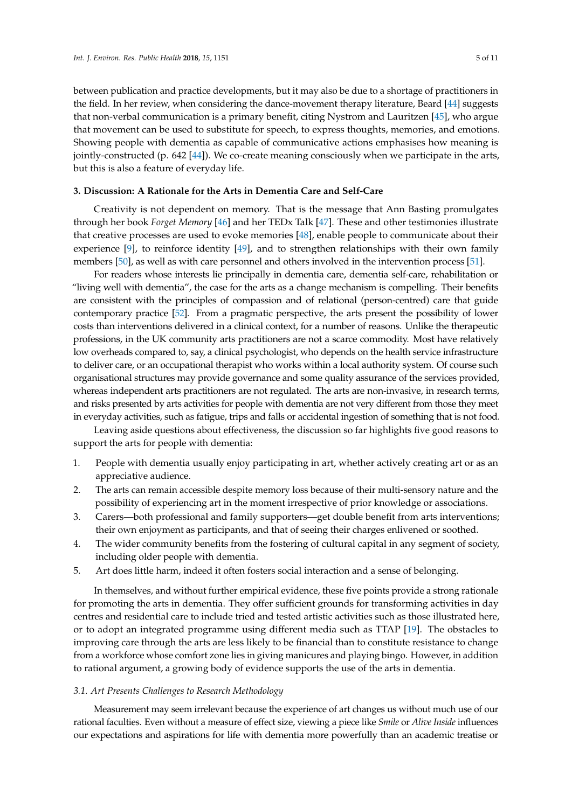between publication and practice developments, but it may also be due to a shortage of practitioners in the field. In her review, when considering the dance-movement therapy literature, Beard [\[44\]](#page-9-13) suggests that non-verbal communication is a primary benefit, citing Nystrom and Lauritzen [\[45\]](#page-9-14), who argue that movement can be used to substitute for speech, to express thoughts, memories, and emotions. Showing people with dementia as capable of communicative actions emphasises how meaning is jointly-constructed (p. 642 [\[44\]](#page-9-13)). We co-create meaning consciously when we participate in the arts, but this is also a feature of everyday life.

# **3. Discussion: A Rationale for the Arts in Dementia Care and Self-Care**

Creativity is not dependent on memory. That is the message that Ann Basting promulgates through her book *Forget Memory* [\[46\]](#page-9-15) and her TEDx Talk [\[47\]](#page-9-16). These and other testimonies illustrate that creative processes are used to evoke memories [\[48\]](#page-9-17), enable people to communicate about their experience [\[9\]](#page-8-0), to reinforce identity [\[49\]](#page-9-18), and to strengthen relationships with their own family members [\[50\]](#page-9-19), as well as with care personnel and others involved in the intervention process [\[51\]](#page-9-20).

For readers whose interests lie principally in dementia care, dementia self-care, rehabilitation or "living well with dementia", the case for the arts as a change mechanism is compelling. Their benefits are consistent with the principles of compassion and of relational (person-centred) care that guide contemporary practice [\[52\]](#page-9-21). From a pragmatic perspective, the arts present the possibility of lower costs than interventions delivered in a clinical context, for a number of reasons. Unlike the therapeutic professions, in the UK community arts practitioners are not a scarce commodity. Most have relatively low overheads compared to, say, a clinical psychologist, who depends on the health service infrastructure to deliver care, or an occupational therapist who works within a local authority system. Of course such organisational structures may provide governance and some quality assurance of the services provided, whereas independent arts practitioners are not regulated. The arts are non-invasive, in research terms, and risks presented by arts activities for people with dementia are not very different from those they meet in everyday activities, such as fatigue, trips and falls or accidental ingestion of something that is not food.

Leaving aside questions about effectiveness, the discussion so far highlights five good reasons to support the arts for people with dementia:

- 1. People with dementia usually enjoy participating in art, whether actively creating art or as an appreciative audience.
- 2. The arts can remain accessible despite memory loss because of their multi-sensory nature and the possibility of experiencing art in the moment irrespective of prior knowledge or associations.
- 3. Carers—both professional and family supporters—get double benefit from arts interventions; their own enjoyment as participants, and that of seeing their charges enlivened or soothed.
- 4. The wider community benefits from the fostering of cultural capital in any segment of society, including older people with dementia.
- 5. Art does little harm, indeed it often fosters social interaction and a sense of belonging.

In themselves, and without further empirical evidence, these five points provide a strong rationale for promoting the arts in dementia. They offer sufficient grounds for transforming activities in day centres and residential care to include tried and tested artistic activities such as those illustrated here, or to adopt an integrated programme using different media such as TTAP [\[19\]](#page-8-10). The obstacles to improving care through the arts are less likely to be financial than to constitute resistance to change from a workforce whose comfort zone lies in giving manicures and playing bingo. However, in addition to rational argument, a growing body of evidence supports the use of the arts in dementia.

#### *3.1. Art Presents Challenges to Research Methodology*

Measurement may seem irrelevant because the experience of art changes us without much use of our rational faculties. Even without a measure of effect size, viewing a piece like *Smile* or *Alive Inside* influences our expectations and aspirations for life with dementia more powerfully than an academic treatise or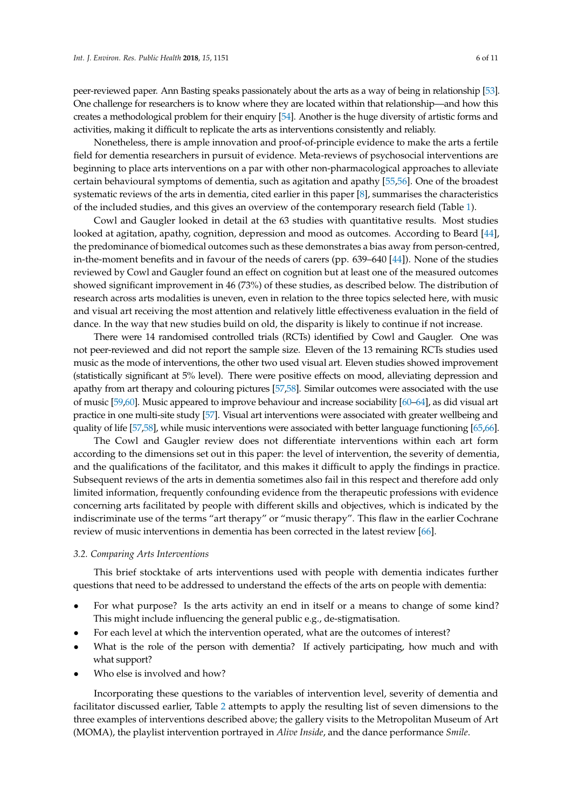peer-reviewed paper. Ann Basting speaks passionately about the arts as a way of being in relationship [\[53\]](#page-9-22). One challenge for researchers is to know where they are located within that relationship—and how this creates a methodological problem for their enquiry [\[54\]](#page-10-0). Another is the huge diversity of artistic forms and activities, making it difficult to replicate the arts as interventions consistently and reliably.

Nonetheless, there is ample innovation and proof-of-principle evidence to make the arts a fertile field for dementia researchers in pursuit of evidence. Meta-reviews of psychosocial interventions are beginning to place arts interventions on a par with other non-pharmacological approaches to alleviate certain behavioural symptoms of dementia, such as agitation and apathy [\[55](#page-10-1)[,56\]](#page-10-2). One of the broadest systematic reviews of the arts in dementia, cited earlier in this paper [\[8\]](#page-7-7), summarises the characteristics of the included studies, and this gives an overview of the contemporary research field (Table [1\)](#page-6-0).

Cowl and Gaugler looked in detail at the 63 studies with quantitative results. Most studies looked at agitation, apathy, cognition, depression and mood as outcomes. According to Beard [\[44\]](#page-9-13), the predominance of biomedical outcomes such as these demonstrates a bias away from person-centred, in-the-moment benefits and in favour of the needs of carers (pp. 639–640 [\[44\]](#page-9-13)). None of the studies reviewed by Cowl and Gaugler found an effect on cognition but at least one of the measured outcomes showed significant improvement in 46 (73%) of these studies, as described below. The distribution of research across arts modalities is uneven, even in relation to the three topics selected here, with music and visual art receiving the most attention and relatively little effectiveness evaluation in the field of dance. In the way that new studies build on old, the disparity is likely to continue if not increase.

There were 14 randomised controlled trials (RCTs) identified by Cowl and Gaugler. One was not peer-reviewed and did not report the sample size. Eleven of the 13 remaining RCTs studies used music as the mode of interventions, the other two used visual art. Eleven studies showed improvement (statistically significant at 5% level). There were positive effects on mood, alleviating depression and apathy from art therapy and colouring pictures [\[57,](#page-10-3)[58\]](#page-10-4). Similar outcomes were associated with the use of music [\[59](#page-10-5)[,60\]](#page-10-6). Music appeared to improve behaviour and increase sociability [\[60](#page-10-6)[–64\]](#page-10-7), as did visual art practice in one multi-site study [\[57\]](#page-10-3). Visual art interventions were associated with greater wellbeing and quality of life [\[57,](#page-10-3)[58\]](#page-10-4), while music interventions were associated with better language functioning [\[65,](#page-10-8)[66\]](#page-10-9).

The Cowl and Gaugler review does not differentiate interventions within each art form according to the dimensions set out in this paper: the level of intervention, the severity of dementia, and the qualifications of the facilitator, and this makes it difficult to apply the findings in practice. Subsequent reviews of the arts in dementia sometimes also fail in this respect and therefore add only limited information, frequently confounding evidence from the therapeutic professions with evidence concerning arts facilitated by people with different skills and objectives, which is indicated by the indiscriminate use of the terms "art therapy" or "music therapy". This flaw in the earlier Cochrane review of music interventions in dementia has been corrected in the latest review [\[66\]](#page-10-9).

#### *3.2. Comparing Arts Interventions*

This brief stocktake of arts interventions used with people with dementia indicates further questions that need to be addressed to understand the effects of the arts on people with dementia:

- For what purpose? Is the arts activity an end in itself or a means to change of some kind? This might include influencing the general public e.g., de-stigmatisation.
- For each level at which the intervention operated, what are the outcomes of interest?
- What is the role of the person with dementia? If actively participating, how much and with what support?
- Who else is involved and how?

Incorporating these questions to the variables of intervention level, severity of dementia and facilitator discussed earlier, Table [2](#page-6-1) attempts to apply the resulting list of seven dimensions to the three examples of interventions described above; the gallery visits to the Metropolitan Museum of Art (MOMA), the playlist intervention portrayed in *Alive Inside*, and the dance performance *Smile*.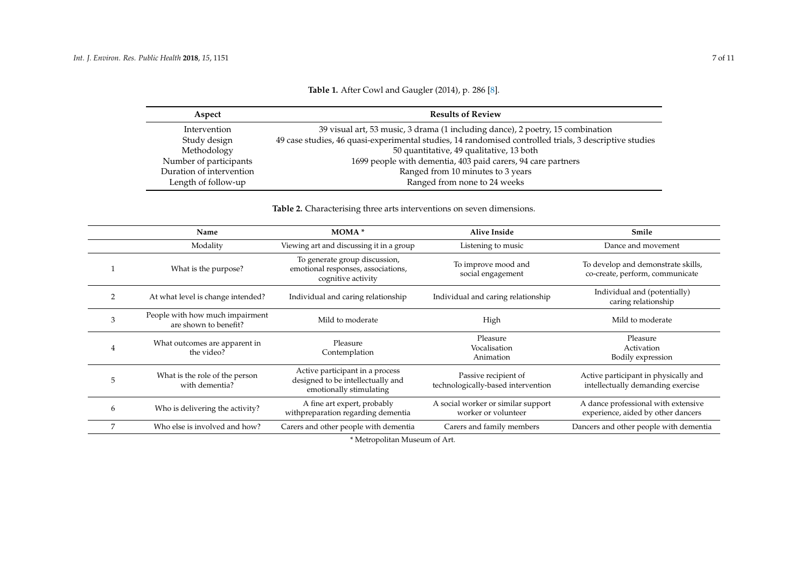| Aspect                   | <b>Results of Review</b>                                                                               |  |  |
|--------------------------|--------------------------------------------------------------------------------------------------------|--|--|
| Intervention             | 39 visual art, 53 music, 3 drama (1 including dance), 2 poetry, 15 combination                         |  |  |
| Study design             | 49 case studies, 46 quasi-experimental studies, 14 randomised controlled trials, 3 descriptive studies |  |  |
| Methodology              | 50 quantitative, 49 qualitative, 13 both                                                               |  |  |
| Number of participants   | 1699 people with dementia, 403 paid carers, 94 care partners                                           |  |  |
| Duration of intervention | Ranged from 10 minutes to 3 years                                                                      |  |  |
| Length of follow-up      | Ranged from none to 24 weeks                                                                           |  |  |

**Table 1.** After Cowl and Gaugler (2014), p. 286 [\[8\]](#page-7-8).

# **Table 2.** Characterising three arts interventions on seven dimensions.

<span id="page-6-1"></span><span id="page-6-0"></span>

|   | Name                                                     | MOMA <sup>*</sup>                                                                               | <b>Alive Inside</b>                                        | Smile                                                                     |
|---|----------------------------------------------------------|-------------------------------------------------------------------------------------------------|------------------------------------------------------------|---------------------------------------------------------------------------|
|   | Modality                                                 | Viewing art and discussing it in a group                                                        | Listening to music                                         | Dance and movement                                                        |
|   | What is the purpose?                                     | To generate group discussion,<br>emotional responses, associations,<br>cognitive activity       | To improve mood and<br>social engagement                   | To develop and demonstrate skills,<br>co-create, perform, communicate     |
|   | At what level is change intended?                        | Individual and caring relationship                                                              | Individual and caring relationship                         | Individual and (potentially)<br>caring relationship                       |
| 3 | People with how much impairment<br>are shown to benefit? | Mild to moderate                                                                                | High                                                       | Mild to moderate                                                          |
| 4 | What outcomes are apparent in<br>the video?              | Pleasure<br>Contemplation                                                                       | Pleasure<br>Vocalisation<br>Animation                      | Pleasure<br>Activation<br>Bodily expression                               |
| 5 | What is the role of the person<br>with dementia?         | Active participant in a process<br>designed to be intellectually and<br>emotionally stimulating | Passive recipient of<br>technologically-based intervention | Active participant in physically and<br>intellectually demanding exercise |
| 6 | Who is delivering the activity?                          | A fine art expert, probably<br>withpreparation regarding dementia                               | A social worker or similar support<br>worker or volunteer  | A dance professional with extensive<br>experience, aided by other dancers |
|   | Who else is involved and how?                            | Carers and other people with dementia                                                           | Carers and family members                                  | Dancers and other people with dementia                                    |

\* Metropolitan Museum of Art.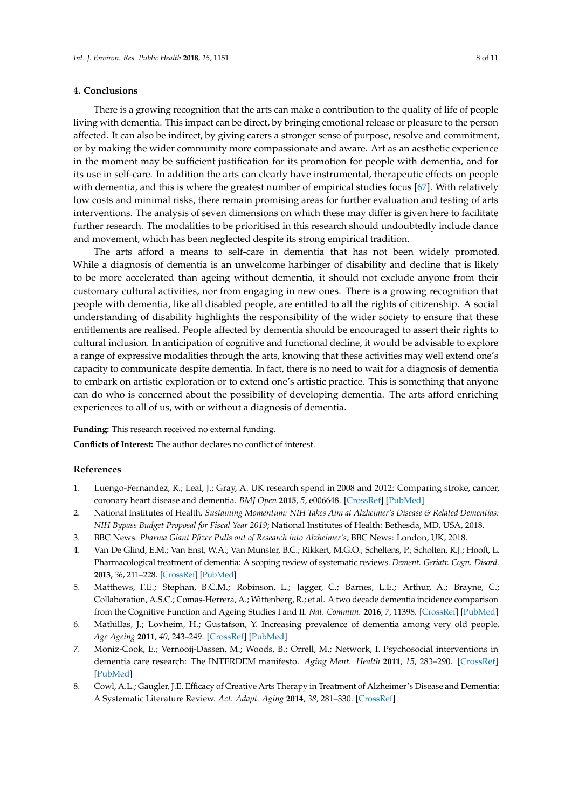## **4. Conclusions**

There is a growing recognition that the arts can make a contribution to the quality of life of people living with dementia. This impact can be direct, by bringing emotional release or pleasure to the person affected. It can also be indirect, by giving carers a stronger sense of purpose, resolve and commitment, or by making the wider community more compassionate and aware. Art as an aesthetic experience in the moment may be sufficient justification for its promotion for people with dementia, and for its use in self-care. In addition the arts can clearly have instrumental, therapeutic effects on people with dementia, and this is where the greatest number of empirical studies focus [\[67\]](#page-10-10). With relatively low costs and minimal risks, there remain promising areas for further evaluation and testing of arts interventions. The analysis of seven dimensions on which these may differ is given here to facilitate further research. The modalities to be prioritised in this research should undoubtedly include dance and movement, which has been neglected despite its strong empirical tradition.

The arts afford a means to self-care in dementia that has not been widely promoted. While a diagnosis of dementia is an unwelcome harbinger of disability and decline that is likely to be more accelerated than ageing without dementia, it should not exclude anyone from their customary cultural activities, nor from engaging in new ones. There is a growing recognition that people with dementia, like all disabled people, are entitled to all the rights of citizenship. A social understanding of disability highlights the responsibility of the wider society to ensure that these entitlements are realised. People affected by dementia should be encouraged to assert their rights to cultural inclusion. In anticipation of cognitive and functional decline, it would be advisable to explore a range of expressive modalities through the arts, knowing that these activities may well extend one's capacity to communicate despite dementia. In fact, there is no need to wait for a diagnosis of dementia to embark on artistic exploration or to extend one's artistic practice. This is something that anyone can do who is concerned about the possibility of developing dementia. The arts afford enriching experiences to all of us, with or without a diagnosis of dementia.

**Funding:** This research received no external funding.

<span id="page-7-8"></span>**Conflicts of Interest:** The author declares no conflict of interest.

#### **References**

- <span id="page-7-0"></span>1. Luengo-Fernandez, R.; Leal, J.; Gray, A. UK research spend in 2008 and 2012: Comparing stroke, cancer, coronary heart disease and dementia. *BMJ Open* **2015**, *5*, e006648. [\[CrossRef\]](http://dx.doi.org/10.1136/bmjopen-2014-006648) [\[PubMed\]](http://www.ncbi.nlm.nih.gov/pubmed/25869683)
- <span id="page-7-1"></span>2. National Institutes of Health. *Sustaining Momentum: NIH Takes Aim at Alzheimer's Disease & Related Dementias: NIH Bypass Budget Proposal for Fiscal Year 2019*; National Institutes of Health: Bethesda, MD, USA, 2018.
- <span id="page-7-2"></span>3. BBC News. *Pharma Giant Pfizer Pulls out of Research into Alzheimer's*; BBC News: London, UK, 2018.
- <span id="page-7-3"></span>4. Van De Glind, E.M.; Van Enst, W.A.; Van Munster, B.C.; Rikkert, M.G.O.; Scheltens, P.; Scholten, R.J.; Hooft, L. Pharmacological treatment of dementia: A scoping review of systematic reviews. *Dement. Geriatr. Cogn. Disord.* **2013**, *36*, 211–228. [\[CrossRef\]](http://dx.doi.org/10.1159/000353892) [\[PubMed\]](http://www.ncbi.nlm.nih.gov/pubmed/23941762)
- <span id="page-7-4"></span>5. Matthews, F.E.; Stephan, B.C.M.; Robinson, L.; Jagger, C.; Barnes, L.E.; Arthur, A.; Brayne, C.; Collaboration, A.S.C.; Comas-Herrera, A.; Wittenberg, R.; et al. A two decade dementia incidence comparison from the Cognitive Function and Ageing Studies I and II. *Nat. Commun.* **2016**, *7*, 11398. [\[CrossRef\]](http://dx.doi.org/10.1038/ncomms11398) [\[PubMed\]](http://www.ncbi.nlm.nih.gov/pubmed/27092707)
- <span id="page-7-5"></span>6. Mathillas, J.; Lovheim, H.; Gustafson, Y. Increasing prevalence of dementia among very old people. *Age Ageing* **2011**, *40*, 243–249. [\[CrossRef\]](http://dx.doi.org/10.1093/ageing/afq173) [\[PubMed\]](http://www.ncbi.nlm.nih.gov/pubmed/21258087)
- <span id="page-7-6"></span>7. Moniz-Cook, E.; Vernooij-Dassen, M.; Woods, B.; Orrell, M.; Network, I. Psychosocial interventions in dementia care research: The INTERDEM manifesto. *Aging Ment. Health* **2011**, *15*, 283–290. [\[CrossRef\]](http://dx.doi.org/10.1080/13607863.2010.543665) [\[PubMed\]](http://www.ncbi.nlm.nih.gov/pubmed/21491215)
- <span id="page-7-7"></span>8. Cowl, A.L.; Gaugler, J.E. Efficacy of Creative Arts Therapy in Treatment of Alzheimer's Disease and Dementia: A Systematic Literature Review. *Act. Adapt. Aging* **2014**, *38*, 281–330. [\[CrossRef\]](http://dx.doi.org/10.1080/01924788.2014.966547)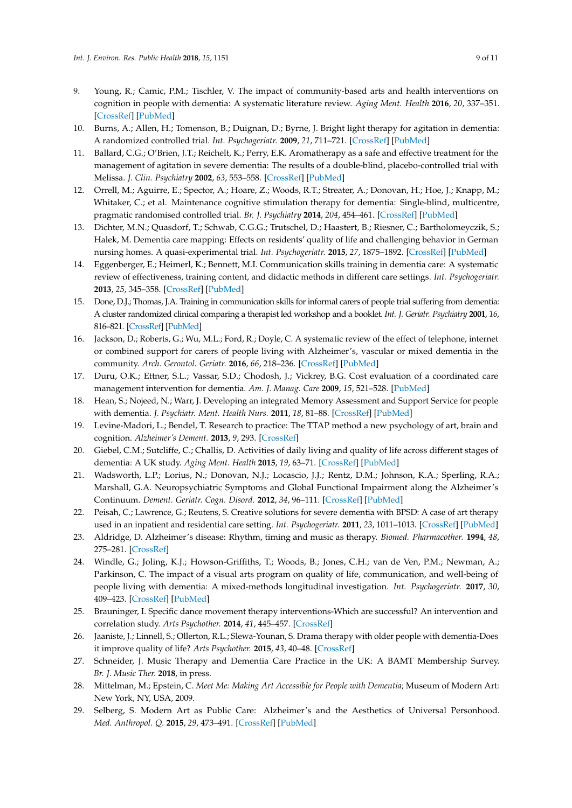- <span id="page-8-0"></span>9. Young, R.; Camic, P.M.; Tischler, V. The impact of community-based arts and health interventions on cognition in people with dementia: A systematic literature review. *Aging Ment. Health* **2016**, *20*, 337–351. [\[CrossRef\]](http://dx.doi.org/10.1080/13607863.2015.1011080) [\[PubMed\]](http://www.ncbi.nlm.nih.gov/pubmed/25683767)
- <span id="page-8-1"></span>10. Burns, A.; Allen, H.; Tomenson, B.; Duignan, D.; Byrne, J. Bright light therapy for agitation in dementia: A randomized controlled trial. *Int. Psychogeriatr.* **2009**, *21*, 711–721. [\[CrossRef\]](http://dx.doi.org/10.1017/S1041610209008886) [\[PubMed\]](http://www.ncbi.nlm.nih.gov/pubmed/19323872)
- <span id="page-8-2"></span>11. Ballard, C.G.; O'Brien, J.T.; Reichelt, K.; Perry, E.K. Aromatherapy as a safe and effective treatment for the management of agitation in severe dementia: The results of a double-blind, placebo-controlled trial with Melissa. *J. Clin. Psychiatry* **2002**, *63*, 553–558. [\[CrossRef\]](http://dx.doi.org/10.4088/JCP.v63n0703) [\[PubMed\]](http://www.ncbi.nlm.nih.gov/pubmed/12143909)
- <span id="page-8-3"></span>12. Orrell, M.; Aguirre, E.; Spector, A.; Hoare, Z.; Woods, R.T.; Streater, A.; Donovan, H.; Hoe, J.; Knapp, M.; Whitaker, C.; et al. Maintenance cognitive stimulation therapy for dementia: Single-blind, multicentre, pragmatic randomised controlled trial. *Br. J. Psychiatry* **2014**, *204*, 454–461. [\[CrossRef\]](http://dx.doi.org/10.1192/bjp.bp.113.137414) [\[PubMed\]](http://www.ncbi.nlm.nih.gov/pubmed/24676963)
- <span id="page-8-4"></span>13. Dichter, M.N.; Quasdorf, T.; Schwab, C.G.G.; Trutschel, D.; Haastert, B.; Riesner, C.; Bartholomeyczik, S.; Halek, M. Dementia care mapping: Effects on residents' quality of life and challenging behavior in German nursing homes. A quasi-experimental trial. *Int. Psychogeriatr.* **2015**, *27*, 1875–1892. [\[CrossRef\]](http://dx.doi.org/10.1017/S1041610215000927) [\[PubMed\]](http://www.ncbi.nlm.nih.gov/pubmed/26138674)
- <span id="page-8-5"></span>14. Eggenberger, E.; Heimerl, K.; Bennett, M.I. Communication skills training in dementia care: A systematic review of effectiveness, training content, and didactic methods in different care settings. *Int. Psychogeriatr.* **2013**, *25*, 345–358. [\[CrossRef\]](http://dx.doi.org/10.1017/S1041610212001664) [\[PubMed\]](http://www.ncbi.nlm.nih.gov/pubmed/23116547)
- <span id="page-8-6"></span>15. Done, D.J.; Thomas, J.A. Training in communication skills for informal carers of people trial suffering from dementia: A cluster randomized clinical comparing a therapist led workshop and a booklet. *Int. J. Geriatr. Psychiatry* **2001**, *16*, 816–821. [\[CrossRef\]](http://dx.doi.org/10.1002/gps.436) [\[PubMed\]](http://www.ncbi.nlm.nih.gov/pubmed/11536349)
- <span id="page-8-7"></span>16. Jackson, D.; Roberts, G.; Wu, M.L.; Ford, R.; Doyle, C. A systematic review of the effect of telephone, internet or combined support for carers of people living with Alzheimer's, vascular or mixed dementia in the community. *Arch. Gerontol. Geriatr.* **2016**, *66*, 218–236. [\[CrossRef\]](http://dx.doi.org/10.1016/j.archger.2016.06.013) [\[PubMed\]](http://www.ncbi.nlm.nih.gov/pubmed/27372903)
- <span id="page-8-8"></span>17. Duru, O.K.; Ettner, S.L.; Vassar, S.D.; Chodosh, J.; Vickrey, B.G. Cost evaluation of a coordinated care management intervention for dementia. *Am. J. Manag. Care* **2009**, *15*, 521–528. [\[PubMed\]](http://www.ncbi.nlm.nih.gov/pubmed/19670955)
- <span id="page-8-9"></span>18. Hean, S.; Nojeed, N.; Warr, J. Developing an integrated Memory Assessment and Support Service for people with dementia. *J. Psychiatr. Ment. Health Nurs.* **2011**, *18*, 81–88. [\[CrossRef\]](http://dx.doi.org/10.1111/j.1365-2850.2010.01665.x) [\[PubMed\]](http://www.ncbi.nlm.nih.gov/pubmed/21214688)
- <span id="page-8-10"></span>19. Levine-Madori, L.; Bendel, T. Research to practice: The TTAP method a new psychology of art, brain and cognition. *Alzheimer's Dement.* **2013**, *9*, 293. [\[CrossRef\]](http://dx.doi.org/10.1016/j.jalz.2013.05.595)
- <span id="page-8-11"></span>20. Giebel, C.M.; Sutcliffe, C.; Challis, D. Activities of daily living and quality of life across different stages of dementia: A UK study. *Aging Ment. Health* **2015**, *19*, 63–71. [\[CrossRef\]](http://dx.doi.org/10.1080/13607863.2014.915920) [\[PubMed\]](http://www.ncbi.nlm.nih.gov/pubmed/24831511)
- <span id="page-8-12"></span>21. Wadsworth, L.P.; Lorius, N.; Donovan, N.J.; Locascio, J.J.; Rentz, D.M.; Johnson, K.A.; Sperling, R.A.; Marshall, G.A. Neuropsychiatric Symptoms and Global Functional Impairment along the Alzheimer's Continuum. *Dement. Geriatr. Cogn. Disord.* **2012**, *34*, 96–111. [\[CrossRef\]](http://dx.doi.org/10.1159/000342119) [\[PubMed\]](http://www.ncbi.nlm.nih.gov/pubmed/22922821)
- <span id="page-8-13"></span>22. Peisah, C.; Lawrence, G.; Reutens, S. Creative solutions for severe dementia with BPSD: A case of art therapy used in an inpatient and residential care setting. *Int. Psychogeriatr.* **2011**, *23*, 1011–1013. [\[CrossRef\]](http://dx.doi.org/10.1017/S1041610211000457) [\[PubMed\]](http://www.ncbi.nlm.nih.gov/pubmed/21426619)
- <span id="page-8-14"></span>23. Aldridge, D. Alzheimer's disease: Rhythm, timing and music as therapy. *Biomed. Pharmacother.* **1994**, *48*, 275–281. [\[CrossRef\]](http://dx.doi.org/10.1016/0753-3322(94)90172-4)
- <span id="page-8-15"></span>24. Windle, G.; Joling, K.J.; Howson-Griffiths, T.; Woods, B.; Jones, C.H.; van de Ven, P.M.; Newman, A.; Parkinson, C. The impact of a visual arts program on quality of life, communication, and well-being of people living with dementia: A mixed-methods longitudinal investigation. *Int. Psychogeriatr.* **2017**, *30*, 409–423. [\[CrossRef\]](http://dx.doi.org/10.1017/S1041610217002162) [\[PubMed\]](http://www.ncbi.nlm.nih.gov/pubmed/29113610)
- <span id="page-8-16"></span>25. Brauninger, I. Specific dance movement therapy interventions-Which are successful? An intervention and correlation study. *Arts Psychother.* **2014**, *41*, 445–457. [\[CrossRef\]](http://dx.doi.org/10.1016/j.aip.2014.08.002)
- <span id="page-8-17"></span>26. Jaaniste, J.; Linnell, S.; Ollerton, R.L.; Slewa-Younan, S. Drama therapy with older people with dementia-Does it improve quality of life? *Arts Psychother.* **2015**, *43*, 40–48. [\[CrossRef\]](http://dx.doi.org/10.1016/j.aip.2014.12.010)
- <span id="page-8-18"></span>27. Schneider, J. Music Therapy and Dementia Care Practice in the UK: A BAMT Membership Survey. *Br. J. Music Ther.* **2018**, in press.
- <span id="page-8-19"></span>28. Mittelman, M.; Epstein, C. *Meet Me: Making Art Accessible for People with Dementia*; Museum of Modern Art: New York, NY, USA, 2009.
- <span id="page-8-20"></span>29. Selberg, S. Modern Art as Public Care: Alzheimer's and the Aesthetics of Universal Personhood. *Med. Anthropol. Q.* **2015**, *29*, 473–491. [\[CrossRef\]](http://dx.doi.org/10.1111/maq.12199) [\[PubMed\]](http://www.ncbi.nlm.nih.gov/pubmed/25727196)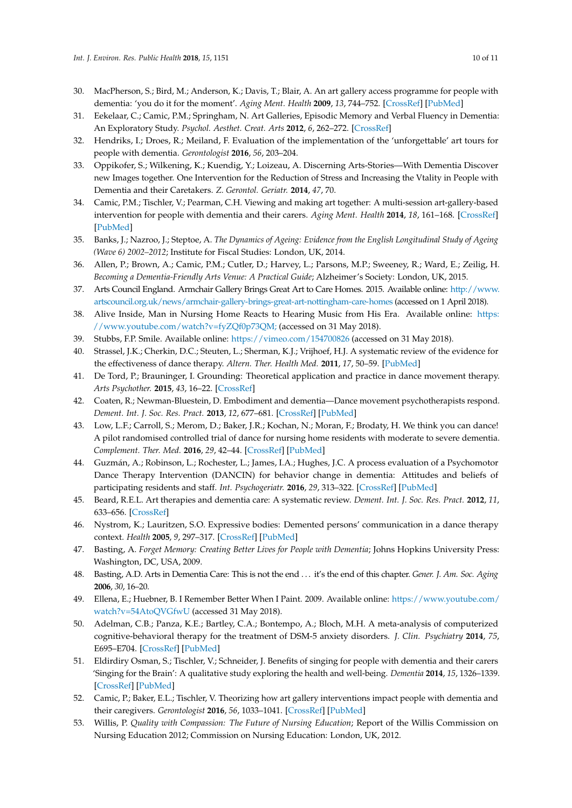- <span id="page-9-0"></span>30. MacPherson, S.; Bird, M.; Anderson, K.; Davis, T.; Blair, A. An art gallery access programme for people with dementia: 'you do it for the moment'. *Aging Ment. Health* **2009**, *13*, 744–752. [\[CrossRef\]](http://dx.doi.org/10.1080/13607860902918207) [\[PubMed\]](http://www.ncbi.nlm.nih.gov/pubmed/19882413)
- <span id="page-9-1"></span>31. Eekelaar, C.; Camic, P.M.; Springham, N. Art Galleries, Episodic Memory and Verbal Fluency in Dementia: An Exploratory Study. *Psychol. Aesthet. Creat. Arts* **2012**, *6*, 262–272. [\[CrossRef\]](http://dx.doi.org/10.1037/a0027499)
- <span id="page-9-2"></span>32. Hendriks, I.; Droes, R.; Meiland, F. Evaluation of the implementation of the 'unforgettable' art tours for people with dementia. *Gerontologist* **2016**, *56*, 203–204.
- <span id="page-9-3"></span>33. Oppikofer, S.; Wilkening, K.; Kuendig, Y.; Loizeau, A. Discerning Arts-Stories—With Dementia Discover new Images together. One Intervention for the Reduction of Stress and Increasing the Vtality in People with Dementia and their Caretakers. *Z. Gerontol. Geriatr.* **2014**, *47*, 70.
- <span id="page-9-4"></span>34. Camic, P.M.; Tischler, V.; Pearman, C.H. Viewing and making art together: A multi-session art-gallery-based intervention for people with dementia and their carers. *Aging Ment. Health* **2014**, *18*, 161–168. [\[CrossRef\]](http://dx.doi.org/10.1080/13607863.2013.818101) [\[PubMed\]](http://www.ncbi.nlm.nih.gov/pubmed/23869748)
- <span id="page-9-5"></span>35. Banks, J.; Nazroo, J.; Steptoe, A. *The Dynamics of Ageing: Evidence from the English Longitudinal Study of Ageing (Wave 6) 2002–2012*; Institute for Fiscal Studies: London, UK, 2014.
- <span id="page-9-6"></span>36. Allen, P.; Brown, A.; Camic, P.M.; Cutler, D.; Harvey, L.; Parsons, M.P.; Sweeney, R.; Ward, E.; Zeilig, H. *Becoming a Dementia-Friendly Arts Venue: A Practical Guide*; Alzheimer's Society: London, UK, 2015.
- <span id="page-9-7"></span>37. Arts Council England. Armchair Gallery Brings Great Art to Care Homes. 2015. Available online: [http://www.](http://www.artscouncil.org.uk/news/armchair-gallery-brings-great-art-nottingham-care-homes) [artscouncil.org.uk/news/armchair-gallery-brings-great-art-nottingham-care-homes](http://www.artscouncil.org.uk/news/armchair-gallery-brings-great-art-nottingham-care-homes) (accessed on 1 April 2018).
- <span id="page-9-8"></span>38. Alive Inside, Man in Nursing Home Reacts to Hearing Music from His Era. Available online: [https:](https://www.youtube.com/watch?v=fyZQf0p73QM;) [//www.youtube.com/watch?v=fyZQf0p73QM;](https://www.youtube.com/watch?v=fyZQf0p73QM;) (accessed on 31 May 2018).
- <span id="page-9-10"></span><span id="page-9-9"></span>39. Stubbs, F.P. Smile. Available online: <https://vimeo.com/154700826> (accessed on 31 May 2018).
- 40. Strassel, J.K.; Cherkin, D.C.; Steuten, L.; Sherman, K.J.; Vrijhoef, H.J. A systematic review of the evidence for the effectiveness of dance therapy. *Altern. Ther. Health Med.* **2011**, *17*, 50–59. [\[PubMed\]](http://www.ncbi.nlm.nih.gov/pubmed/22164813)
- <span id="page-9-11"></span>41. De Tord, P.; Brauninger, I. Grounding: Theoretical application and practice in dance movement therapy. *Arts Psychother.* **2015**, *43*, 16–22. [\[CrossRef\]](http://dx.doi.org/10.1016/j.aip.2015.02.001)
- 42. Coaten, R.; Newman-Bluestein, D. Embodiment and dementia—Dance movement psychotherapists respond. *Dement. Int. J. Soc. Res. Pract.* **2013**, *12*, 677–681. [\[CrossRef\]](http://dx.doi.org/10.1177/1471301213507033) [\[PubMed\]](http://www.ncbi.nlm.nih.gov/pubmed/24337633)
- <span id="page-9-12"></span>43. Low, L.F.; Carroll, S.; Merom, D.; Baker, J.R.; Kochan, N.; Moran, F.; Brodaty, H. We think you can dance! A pilot randomised controlled trial of dance for nursing home residents with moderate to severe dementia. *Complement. Ther. Med.* **2016**, *29*, 42–44. [\[CrossRef\]](http://dx.doi.org/10.1016/j.ctim.2016.09.005) [\[PubMed\]](http://www.ncbi.nlm.nih.gov/pubmed/27912955)
- <span id="page-9-13"></span>44. Guzmán, A.; Robinson, L.; Rochester, L.; James, I.A.; Hughes, J.C. A process evaluation of a Psychomotor Dance Therapy Intervention (DANCIN) for behavior change in dementia: Attitudes and beliefs of participating residents and staff. *Int. Psychogeriatr.* **2016**, *29*, 313–322. [\[CrossRef\]](http://dx.doi.org/10.1017/S104161021600171X) [\[PubMed\]](http://www.ncbi.nlm.nih.gov/pubmed/27817760)
- <span id="page-9-14"></span>45. Beard, R.E.L. Art therapies and dementia care: A systematic review. *Dement. Int. J. Soc. Res. Pract.* **2012**, *11*, 633–656. [\[CrossRef\]](http://dx.doi.org/10.1177/1471301211421090)
- <span id="page-9-15"></span>46. Nystrom, K.; Lauritzen, S.O. Expressive bodies: Demented persons' communication in a dance therapy context. *Health* **2005**, *9*, 297–317. [\[CrossRef\]](http://dx.doi.org/10.1177/1363459305052902) [\[PubMed\]](http://www.ncbi.nlm.nih.gov/pubmed/15937034)
- <span id="page-9-16"></span>47. Basting, A. *Forget Memory: Creating Better Lives for People with Dementia*; Johns Hopkins University Press: Washington, DC, USA, 2009.
- <span id="page-9-17"></span>48. Basting, A.D. Arts in Dementia Care: This is not the end . . . it's the end of this chapter. *Gener. J. Am. Soc. Aging* **2006**, *30*, 16–20.
- <span id="page-9-18"></span>49. Ellena, E.; Huebner, B. I Remember Better When I Paint. 2009. Available online: [https://www.youtube.com/](https://www.youtube.com/watch?v=54AtoQVGfwU) [watch?v=54AtoQVGfwU](https://www.youtube.com/watch?v=54AtoQVGfwU) (accessed 31 May 2018).
- <span id="page-9-19"></span>50. Adelman, C.B.; Panza, K.E.; Bartley, C.A.; Bontempo, A.; Bloch, M.H. A meta-analysis of computerized cognitive-behavioral therapy for the treatment of DSM-5 anxiety disorders. *J. Clin. Psychiatry* **2014**, *75*, E695–E704. [\[CrossRef\]](http://dx.doi.org/10.4088/JCP.13r08894) [\[PubMed\]](http://www.ncbi.nlm.nih.gov/pubmed/25093485)
- <span id="page-9-20"></span>51. Eldirdiry Osman, S.; Tischler, V.; Schneider, J. Benefits of singing for people with dementia and their carers 'Singing for the Brain': A qualitative study exploring the health and well-being. *Dementia* **2014**, *15*, 1326–1339. [\[CrossRef\]](http://dx.doi.org/10.1177/1471301214556291) [\[PubMed\]](http://www.ncbi.nlm.nih.gov/pubmed/25425445)
- <span id="page-9-21"></span>52. Camic, P.; Baker, E.L.; Tischler, V. Theorizing how art gallery interventions impact people with dementia and their caregivers. *Gerontologist* **2016**, *56*, 1033–1041. [\[CrossRef\]](http://dx.doi.org/10.1093/geront/gnv063) [\[PubMed\]](http://www.ncbi.nlm.nih.gov/pubmed/26185152)
- <span id="page-9-22"></span>53. Willis, P. *Quality with Compassion: The Future of Nursing Education*; Report of the Willis Commission on Nursing Education 2012; Commission on Nursing Education: London, UK, 2012.